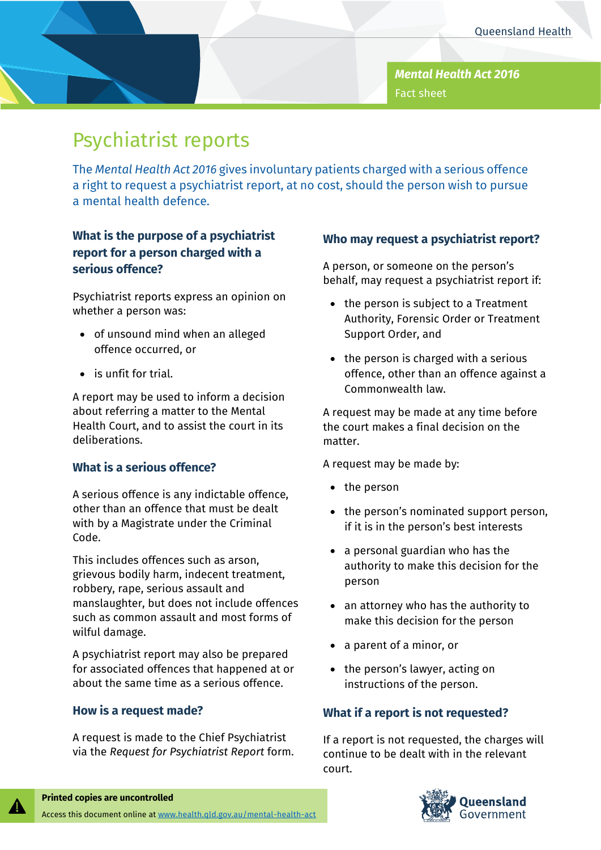*Mental Health Act 2016* Fact sheet

# Psychiatrist reports

The *Mental Health Act 2016* gives involuntary patients charged with a serious offence a right to request a psychiatrist report, at no cost, should the person wish to pursue a mental health defence.

# **What is the purpose of a psychiatrist report for a person charged with a serious offence?**

Psychiatrist reports express an opinion on whether a person was:

- of unsound mind when an alleged offence occurred, or
- is unfit for trial.

A report may be used to inform a decision about referring a matter to the Mental Health Court, and to assist the court in its deliberations.

## **What is a serious offence?**

A serious offence is any indictable offence, other than an offence that must be dealt with by a Magistrate under the Criminal Code.

This includes offences such as arson, grievous bodily harm, indecent treatment, robbery, rape, serious assault and manslaughter, but does not include offences such as common assault and most forms of wilful damage.

A psychiatrist report may also be prepared for associated offences that happened at or about the same time as a serious offence.

#### **How is a request made?**

A request is made to the Chief Psychiatrist via the *Request for Psychiatrist Report* form.

## **Who may request a psychiatrist report?**

A person, or someone on the person's behalf, may request a psychiatrist report if:

- the person is subject to a Treatment Authority, Forensic Order or Treatment Support Order, and
- the person is charged with a serious offence, other than an offence against a Commonwealth law.

A request may be made at any time before the court makes a final decision on the matter.

A request may be made by:

- the person
- the person's nominated support person, if it is in the person's best interests
- a personal guardian who has the authority to make this decision for the person
- an attorney who has the authority to make this decision for the person
- a parent of a minor, or
- the person's lawyer, acting on instructions of the person.

## **What if a report is not requested?**

If a report is not requested, the charges will continue to be dealt with in the relevant court.



#### **Printed copies are uncontrolled** Access this document online a[t www.health.qld.gov.au/mental-health-act](http://www.health.qld.gov.au/mental-health-act)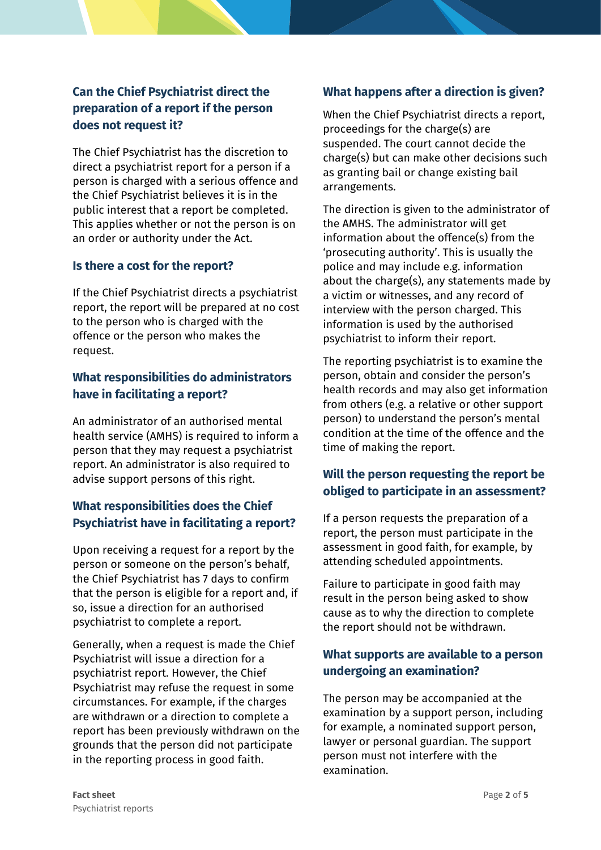# **Can the Chief Psychiatrist direct the preparation of a report if the person does not request it?**

The Chief Psychiatrist has the discretion to direct a psychiatrist report for a person if a person is charged with a serious offence and the Chief Psychiatrist believes it is in the public interest that a report be completed. This applies whether or not the person is on an order or authority under the Act.

#### **Is there a cost for the report?**

If the Chief Psychiatrist directs a psychiatrist report, the report will be prepared at no cost to the person who is charged with the offence or the person who makes the request.

## **What responsibilities do administrators have in facilitating a report?**

An administrator of an authorised mental health service (AMHS) is required to inform a person that they may request a psychiatrist report. An administrator is also required to advise support persons of this right.

## **What responsibilities does the Chief Psychiatrist have in facilitating a report?**

Upon receiving a request for a report by the person or someone on the person's behalf, the Chief Psychiatrist has 7 days to confirm that the person is eligible for a report and, if so, issue a direction for an authorised psychiatrist to complete a report.

Generally, when a request is made the Chief Psychiatrist will issue a direction for a psychiatrist report. However, the Chief Psychiatrist may refuse the request in some circumstances. For example, if the charges are withdrawn or a direction to complete a report has been previously withdrawn on the grounds that the person did not participate in the reporting process in good faith.

## **What happens after a direction is given?**

When the Chief Psychiatrist directs a report, proceedings for the charge(s) are suspended. The court cannot decide the charge(s) but can make other decisions such as granting bail or change existing bail arrangements.

The direction is given to the administrator of the AMHS. The administrator will get information about the offence(s) from the 'prosecuting authority'. This is usually the police and may include e.g. information about the charge(s), any statements made by a victim or witnesses, and any record of interview with the person charged. This information is used by the authorised psychiatrist to inform their report.

The reporting psychiatrist is to examine the person, obtain and consider the person's health records and may also get information from others (e.g. a relative or other support person) to understand the person's mental condition at the time of the offence and the time of making the report.

## **Will the person requesting the report be obliged to participate in an assessment?**

If a person requests the preparation of a report, the person must participate in the assessment in good faith, for example, by attending scheduled appointments.

Failure to participate in good faith may result in the person being asked to show cause as to why the direction to complete the report should not be withdrawn.

## **What supports are available to a person undergoing an examination?**

The person may be accompanied at the examination by a support person, including for example, a nominated support person, lawyer or personal guardian. The support person must not interfere with the examination.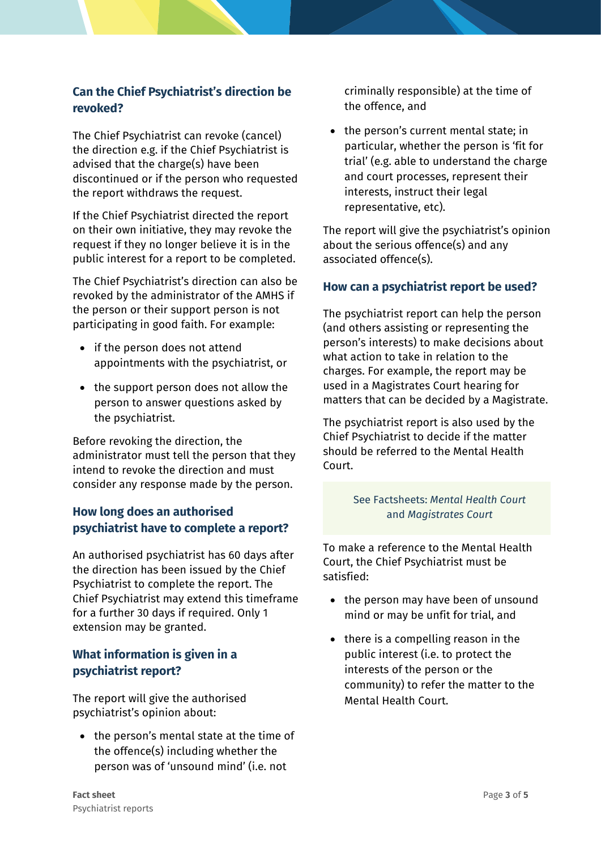## **Can the Chief Psychiatrist's direction be revoked?**

The Chief Psychiatrist can revoke (cancel) the direction e.g. if the Chief Psychiatrist is advised that the charge(s) have been discontinued or if the person who requested the report withdraws the request.

If the Chief Psychiatrist directed the report on their own initiative, they may revoke the request if they no longer believe it is in the public interest for a report to be completed.

The Chief Psychiatrist's direction can also be revoked by the administrator of the AMHS if the person or their support person is not participating in good faith. For example:

- if the person does not attend appointments with the psychiatrist, or
- the support person does not allow the person to answer questions asked by the psychiatrist.

Before revoking the direction, the administrator must tell the person that they intend to revoke the direction and must consider any response made by the person.

# **How long does an authorised psychiatrist have to complete a report?**

An authorised psychiatrist has 60 days after the direction has been issued by the Chief Psychiatrist to complete the report. The Chief Psychiatrist may extend this timeframe for a further 30 days if required. Only 1 extension may be granted.

# **What information is given in a psychiatrist report?**

The report will give the authorised psychiatrist's opinion about:

• the person's mental state at the time of the offence(s) including whether the person was of 'unsound mind' (i.e. not

criminally responsible) at the time of the offence, and

• the person's current mental state; in particular, whether the person is 'fit for trial' (e.g. able to understand the charge and court processes, represent their interests, instruct their legal representative, etc).

The report will give the psychiatrist's opinion about the serious offence(s) and any associated offence(s).

## **How can a psychiatrist report be used?**

The psychiatrist report can help the person (and others assisting or representing the person's interests) to make decisions about what action to take in relation to the charges. For example, the report may be used in a Magistrates Court hearing for matters that can be decided by a Magistrate.

The psychiatrist report is also used by the Chief Psychiatrist to decide if the matter should be referred to the Mental Health Court.

## See Factsheets: *Mental Health Court*  and *Magistrates Court*

To make a reference to the Mental Health Court, the Chief Psychiatrist must be satisfied:

- the person may have been of unsound mind or may be unfit for trial, and
- there is a compelling reason in the public interest (i.e. to protect the interests of the person or the community) to refer the matter to the Mental Health Court.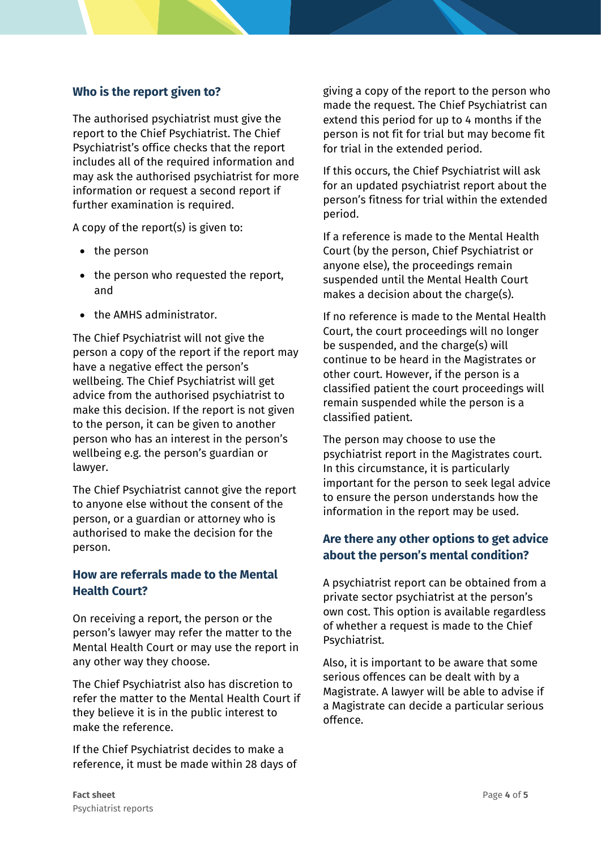#### **Who is the report given to?**

The authorised psychiatrist must give the report to the Chief Psychiatrist. The Chief Psychiatrist's office checks that the report includes all of the required information and may ask the authorised psychiatrist for more information or request a second report if further examination is required.

A copy of the report(s) is given to:

- the person
- the person who requested the report, and
- the AMHS administrator.

The Chief Psychiatrist will not give the person a copy of the report if the report may have a negative effect the person's wellbeing. The Chief Psychiatrist will get advice from the authorised psychiatrist to make this decision. If the report is not given to the person, it can be given to another person who has an interest in the person's wellbeing e.g. the person's guardian or lawyer.

The Chief Psychiatrist cannot give the report to anyone else without the consent of the person, or a guardian or attorney who is authorised to make the decision for the person.

## **How are referrals made to the Mental Health Court?**

On receiving a report, the person or the person's lawyer may refer the matter to the Mental Health Court or may use the report in any other way they choose.

The Chief Psychiatrist also has discretion to refer the matter to the Mental Health Court if they believe it is in the public interest to make the reference.

If the Chief Psychiatrist decides to make a reference, it must be made within 28 days of giving a copy of the report to the person who made the request. The Chief Psychiatrist can extend this period for up to 4 months if the person is not fit for trial but may become fit for trial in the extended period.

If this occurs, the Chief Psychiatrist will ask for an updated psychiatrist report about the person's fitness for trial within the extended period.

If a reference is made to the Mental Health Court (by the person, Chief Psychiatrist or anyone else), the proceedings remain suspended until the Mental Health Court makes a decision about the charge(s).

If no reference is made to the Mental Health Court, the court proceedings will no longer be suspended, and the charge(s) will continue to be heard in the Magistrates or other court. However, if the person is a classified patient the court proceedings will remain suspended while the person is a classified patient.

The person may choose to use the psychiatrist report in the Magistrates court. In this circumstance, it is particularly important for the person to seek legal advice to ensure the person understands how the information in the report may be used.

#### **Are there any other options to get advice about the person's mental condition?**

A psychiatrist report can be obtained from a private sector psychiatrist at the person's own cost. This option is available regardless of whether a request is made to the Chief Psychiatrist.

Also, it is important to be aware that some serious offences can be dealt with by a Magistrate. A lawyer will be able to advise if a Magistrate can decide a particular serious offence.